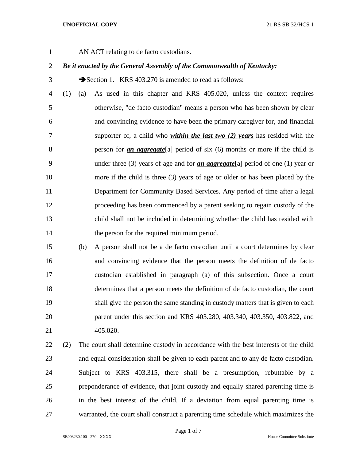AN ACT relating to de facto custodians.

# *Be it enacted by the General Assembly of the Commonwealth of Kentucky:*

3 Section 1. KRS 403.270 is amended to read as follows:

 (1) (a) As used in this chapter and KRS 405.020, unless the context requires otherwise, "de facto custodian" means a person who has been shown by clear and convincing evidence to have been the primary caregiver for, and financial supporter of, a child who *within the last two (2) years* has resided with the 8 person for *an aggregate*[a] period of six (6) months or more if the child is under three (3) years of age and for *an aggregate*[a] period of one (1) year or more if the child is three (3) years of age or older or has been placed by the Department for Community Based Services. Any period of time after a legal proceeding has been commenced by a parent seeking to regain custody of the child shall not be included in determining whether the child has resided with 14 the person for the required minimum period.

 (b) A person shall not be a de facto custodian until a court determines by clear and convincing evidence that the person meets the definition of de facto custodian established in paragraph (a) of this subsection. Once a court determines that a person meets the definition of de facto custodian, the court shall give the person the same standing in custody matters that is given to each parent under this section and KRS 403.280, 403.340, 403.350, 403.822, and 405.020.

 (2) The court shall determine custody in accordance with the best interests of the child and equal consideration shall be given to each parent and to any de facto custodian. Subject to KRS 403.315, there shall be a presumption, rebuttable by a preponderance of evidence, that joint custody and equally shared parenting time is in the best interest of the child. If a deviation from equal parenting time is warranted, the court shall construct a parenting time schedule which maximizes the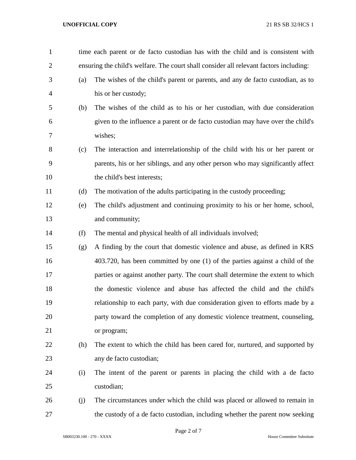| $\mathbf{1}$ |     | time each parent or de facto custodian has with the child and is consistent with       |
|--------------|-----|----------------------------------------------------------------------------------------|
| 2            |     | ensuring the child's welfare. The court shall consider all relevant factors including: |
| 3            | (a) | The wishes of the child's parent or parents, and any de facto custodian, as to         |
| 4            |     | his or her custody;                                                                    |
| 5            | (b) | The wishes of the child as to his or her custodian, with due consideration             |
| 6            |     | given to the influence a parent or de facto custodian may have over the child's        |
| 7            |     | wishes;                                                                                |
| 8            | (c) | The interaction and interrelationship of the child with his or her parent or           |
| 9            |     | parents, his or her siblings, and any other person who may significantly affect        |
| 10           |     | the child's best interests;                                                            |
| 11           | (d) | The motivation of the adults participating in the custody proceeding;                  |
| 12           | (e) | The child's adjustment and continuing proximity to his or her home, school,            |
| 13           |     | and community;                                                                         |
| 14           | (f) | The mental and physical health of all individuals involved;                            |
| 15           | (g) | A finding by the court that domestic violence and abuse, as defined in KRS             |
| 16           |     | 403.720, has been committed by one (1) of the parties against a child of the           |
| 17           |     | parties or against another party. The court shall determine the extent to which        |
| 18           |     | the domestic violence and abuse has affected the child and the child's                 |
| 19           |     | relationship to each party, with due consideration given to efforts made by a          |
| 20           |     | party toward the completion of any domestic violence treatment, counseling,            |
| 21           |     | or program;                                                                            |
| 22           | (h) | The extent to which the child has been cared for, nurtured, and supported by           |
| 23           |     | any de facto custodian;                                                                |
| 24           | (i) | The intent of the parent or parents in placing the child with a de facto               |
| 25           |     | custodian;                                                                             |
| 26           | (j) | The circumstances under which the child was placed or allowed to remain in             |
| 27           |     | the custody of a de facto custodian, including whether the parent now seeking          |

Page 2 of 7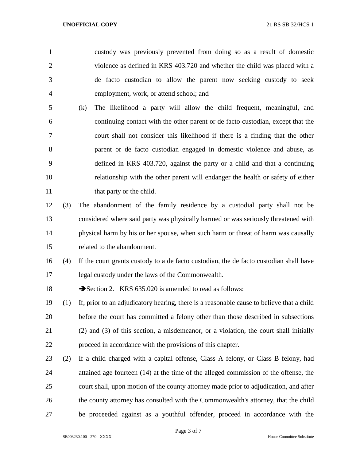custody was previously prevented from doing so as a result of domestic violence as defined in KRS 403.720 and whether the child was placed with a de facto custodian to allow the parent now seeking custody to seek employment, work, or attend school; and

- (k) The likelihood a party will allow the child frequent, meaningful, and continuing contact with the other parent or de facto custodian, except that the court shall not consider this likelihood if there is a finding that the other parent or de facto custodian engaged in domestic violence and abuse, as defined in KRS 403.720, against the party or a child and that a continuing relationship with the other parent will endanger the health or safety of either 11 that party or the child.
- (3) The abandonment of the family residence by a custodial party shall not be considered where said party was physically harmed or was seriously threatened with physical harm by his or her spouse, when such harm or threat of harm was causally related to the abandonment.
- (4) If the court grants custody to a de facto custodian, the de facto custodian shall have legal custody under the laws of the Commonwealth.

18 Section 2. KRS 635.020 is amended to read as follows:

- (1) If, prior to an adjudicatory hearing, there is a reasonable cause to believe that a child before the court has committed a felony other than those described in subsections (2) and (3) of this section, a misdemeanor, or a violation, the court shall initially proceed in accordance with the provisions of this chapter.
- (2) If a child charged with a capital offense, Class A felony, or Class B felony, had attained age fourteen (14) at the time of the alleged commission of the offense, the court shall, upon motion of the county attorney made prior to adjudication, and after the county attorney has consulted with the Commonwealth's attorney, that the child be proceeded against as a youthful offender, proceed in accordance with the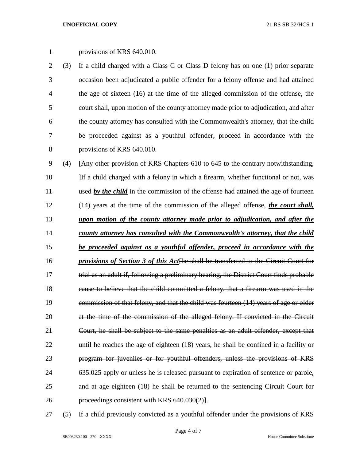| $\mathbf{1}$ |     | provisions of KRS 640.010.                                                                   |
|--------------|-----|----------------------------------------------------------------------------------------------|
| 2            | (3) | If a child charged with a Class C or Class D felony has on one (1) prior separate            |
| 3            |     | occasion been adjudicated a public offender for a felony offense and had attained            |
| 4            |     | the age of sixteen (16) at the time of the alleged commission of the offense, the            |
| 5            |     | court shall, upon motion of the county attorney made prior to adjudication, and after        |
| 6            |     | the county attorney has consulted with the Commonwealth's attorney, that the child           |
| 7            |     | be proceeded against as a youthful offender, proceed in accordance with the                  |
| 8            |     | provisions of KRS 640.010.                                                                   |
| 9            | (4) | [Any other provision of KRS Chapters 610 to 645 to the contrary notwithstanding,             |
| 10           |     | He a child charged with a felony in which a firearm, whether functional or not, was          |
| 11           |     | used by the child in the commission of the offense had attained the age of fourteen          |
| 12           |     | $(14)$ years at the time of the commission of the alleged offense, the court shall,          |
| 13           |     | upon motion of the county attorney made prior to adjudication, and after the                 |
|              |     |                                                                                              |
|              |     | county attorney has consulted with the Commonwealth's attorney, that the child               |
| 14<br>15     |     | be proceeded against as a youthful offender, proceed in accordance with the                  |
| 16           |     | <i>provisions of Section 3 of this Act</i> [he shall be transferred to the Circuit Court for |
| 17           |     | trial as an adult if, following a preliminary hearing, the District Court finds probable     |
| 18           |     | cause to believe that the child committed a felony, that a firearm was used in the           |
| 19           |     | commission of that felony, and that the child was fourteen (14) years of age or older        |
| 20           |     | at the time of the commission of the alleged felony. If convicted in the Circuit             |
| 21           |     | Court, he shall be subject to the same penalties as an adult offender, except that           |
| 22           |     | until he reaches the age of eighteen (18) years, he shall be confined in a facility or       |
| 23           |     | program for juveniles or for youthful offenders, unless the provisions of KRS                |
| 24           |     | 635.025 apply or unless he is released pursuant to expiration of sentence or parole,         |
| 25           |     | and at age eighteen (18) he shall be returned to the sentencing Circuit Court for            |

(5) If a child previously convicted as a youthful offender under the provisions of KRS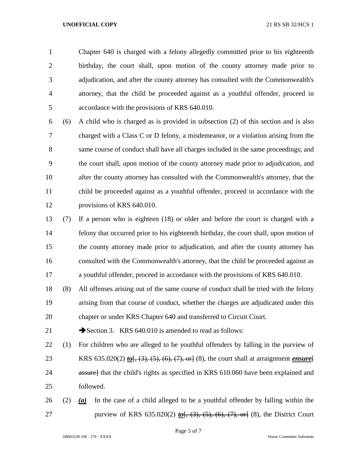Chapter 640 is charged with a felony allegedly committed prior to his eighteenth birthday, the court shall, upon motion of the county attorney made prior to adjudication, and after the county attorney has consulted with the Commonwealth's attorney, that the child be proceeded against as a youthful offender, proceed in accordance with the provisions of KRS 640.010.

 (6) A child who is charged as is provided in subsection (2) of this section and is also charged with a Class C or D felony, a misdemeanor, or a violation arising from the same course of conduct shall have all charges included in the same proceedings; and the court shall, upon motion of the county attorney made prior to adjudication, and after the county attorney has consulted with the Commonwealth's attorney, that the child be proceeded against as a youthful offender, proceed in accordance with the provisions of KRS 640.010.

 (7) If a person who is eighteen (18) or older and before the court is charged with a felony that occurred prior to his eighteenth birthday, the court shall, upon motion of the county attorney made prior to adjudication, and after the county attorney has consulted with the Commonwealth's attorney, that the child be proceeded against as a youthful offender, proceed in accordance with the provisions of KRS 640.010.

 (8) All offenses arising out of the same course of conduct shall be tried with the felony arising from that course of conduct, whether the charges are adjudicated under this chapter or under KRS Chapter 640 and transferred to Circuit Court.

21 Section 3. KRS 640.010 is amended to read as follows:

 (1) For children who are alleged to be youthful offenders by falling in the purview of 23 KRS 635.020(2) *to*[, (3), (5), (6), (7), or] (8), the court shall at arraignment *ensure*[ 24 assure] that the child's rights as specified in KRS 610.060 have been explained and followed.

 (2) *(a)* In the case of a child alleged to be a youthful offender by falling within the purview of KRS 635.020(2) *to*[, (3), (5), (6), (7), or] (8), the District Court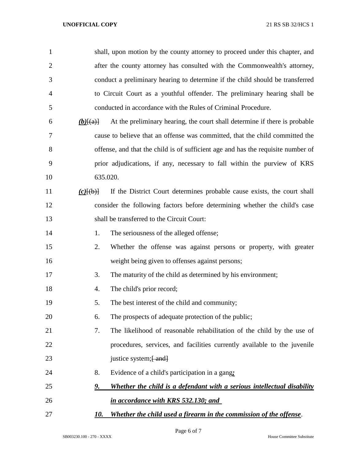| $\mathbf{1}$   |                      | shall, upon motion by the county attorney to proceed under this chapter, and     |
|----------------|----------------------|----------------------------------------------------------------------------------|
| $\overline{2}$ |                      | after the county attorney has consulted with the Commonwealth's attorney,        |
| 3              |                      | conduct a preliminary hearing to determine if the child should be transferred    |
| 4              |                      | to Circuit Court as a youthful offender. The preliminary hearing shall be        |
| 5              |                      | conducted in accordance with the Rules of Criminal Procedure.                    |
| 6              | $(b)$ $(a)$ $\vdash$ | At the preliminary hearing, the court shall determine if there is probable       |
| 7              |                      | cause to believe that an offense was committed, that the child committed the     |
| 8              |                      | offense, and that the child is of sufficient age and has the requisite number of |
| 9              |                      | prior adjudications, if any, necessary to fall within the purview of KRS         |
| 10             |                      | 635.020.                                                                         |
| 11             | $(c)$ $(\theta)$     | If the District Court determines probable cause exists, the court shall          |
| 12             |                      | consider the following factors before determining whether the child's case       |
| 13             |                      | shall be transferred to the Circuit Court:                                       |
| 14             | 1.                   | The seriousness of the alleged offense;                                          |
| 15             | 2.                   | Whether the offense was against persons or property, with greater                |
| 16             |                      | weight being given to offenses against persons;                                  |
| 17             | 3.                   | The maturity of the child as determined by his environment;                      |
| 18             | 4.                   | The child's prior record;                                                        |
| 19             | 5.                   | The best interest of the child and community;                                    |
| 20             | 6.                   | The prospects of adequate protection of the public;                              |
| 21             | 7.                   | The likelihood of reasonable rehabilitation of the child by the use of           |
| 22             |                      | procedures, services, and facilities currently available to the juvenile         |
| 23             |                      | justice system; [ and]                                                           |
| 24             | 8.                   | Evidence of a child's participation in a gang:                                   |
| 25             | <u>g.</u>            | Whether the child is a defendant with a serious intellectual disability          |
| 26             |                      | in accordance with KRS 532.130; and                                              |
| 27             | 10.                  | Whether the child used a firearm in the commission of the offense.               |